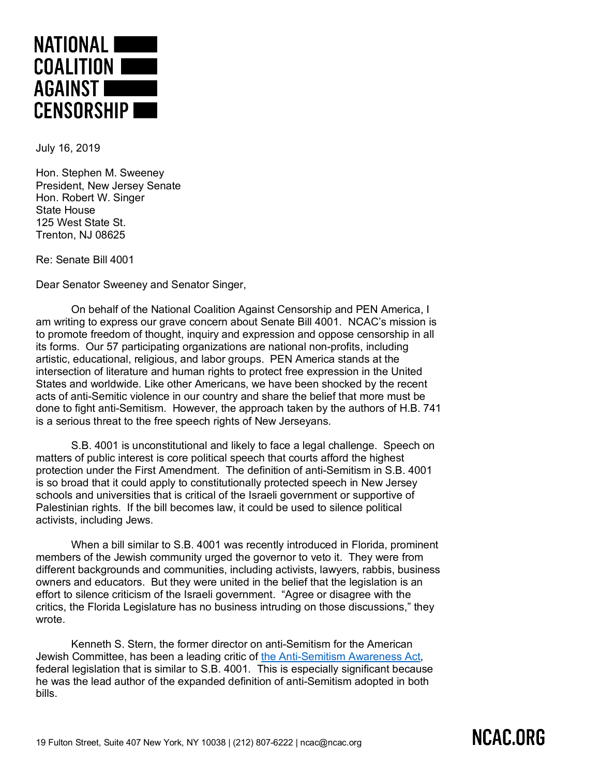

July 16, 2019

Hon. Stephen M. Sweeney President, New Jersey Senate Hon. Robert W. Singer State House 125 West State St. Trenton, NJ 08625

Re: Senate Bill 4001

Dear Senator Sweeney and Senator Singer,

On behalf of the National Coalition Against Censorship and PEN America, I am writing to express our grave concern about Senate Bill 4001. NCAC's mission is to promote freedom of thought, inquiry and expression and oppose censorship in all its forms. Our 57 participating organizations are national non-profits, including artistic, educational, religious, and labor groups. PEN America stands at the intersection of literature and human rights to protect free expression in the United States and worldwide. Like other Americans, we have been shocked by the recent acts of anti-Semitic violence in our country and share the belief that more must be done to fight anti-Semitism. However, the approach taken by the authors of H.B. 741 is a serious threat to the free speech rights of New Jerseyans.

S.B. 4001 is unconstitutional and likely to face a legal challenge. Speech on matters of public interest is core political speech that courts afford the highest protection under the First Amendment. The definition of anti-Semitism in S.B. 4001 is so broad that it could apply to constitutionally protected speech in New Jersey schools and universities that is critical of the Israeli government or supportive of Palestinian rights. If the bill becomes law, it could be used to silence political activists, including Jews.

When a bill similar to S.B. 4001 was recently introduced in Florida, prominent members of the Jewish community urged the governor to veto it. They were from different backgrounds and communities, including activists, lawyers, rabbis, business owners and educators. But they were united in the belief that the legislation is an effort to silence criticism of the Israeli government. "Agree or disagree with the critics, the Florida Legislature has no business intruding on those discussions," they wrote.

Kenneth S. Stern, the former director on anti-Semitism for the American Jewish Committee, has been a leading critic of the Anti-Semitism Awareness Act, federal legislation that is similar to S.B. 4001. This is especially significant because he was the lead author of the expanded definition of anti-Semitism adopted in both bills.

## NCAC.ORG